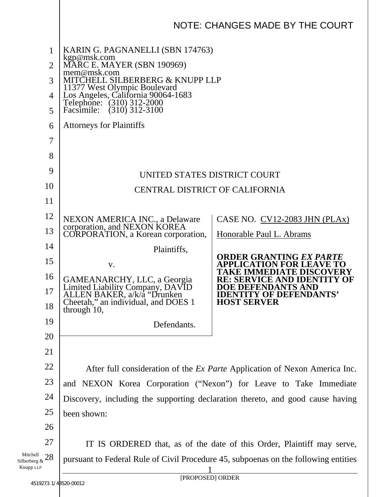|                                             | NOTE: CHANGES MADE BY THE COURT                                                                                                                                                                                                                                                                    |                                                            |
|---------------------------------------------|----------------------------------------------------------------------------------------------------------------------------------------------------------------------------------------------------------------------------------------------------------------------------------------------------|------------------------------------------------------------|
| 1<br>$\overline{2}$<br>3<br>4<br>5<br>6     | KARIN G. PAGNANELLI (SBN 174763)<br>kgp@msk.com<br>MARC E. MAYER (SBN 190969)<br>mem@msk.com<br>MITCHELL SILBERBERG & KNUPP LLP<br>11377 West Olympic Boulevard<br>Los Angeles, California 90064-1683<br>Telephone: (310) 312-2000<br>Facsimile: (310) 312-3100<br><b>Attorneys for Plaintiffs</b> |                                                            |
|                                             |                                                                                                                                                                                                                                                                                                    |                                                            |
| $\overline{7}$                              |                                                                                                                                                                                                                                                                                                    |                                                            |
| 8                                           |                                                                                                                                                                                                                                                                                                    |                                                            |
| 9                                           | UNITED STATES DISTRICT COURT                                                                                                                                                                                                                                                                       |                                                            |
| 10                                          | CENTRAL DISTRICT OF CALIFORNIA                                                                                                                                                                                                                                                                     |                                                            |
| 11                                          |                                                                                                                                                                                                                                                                                                    |                                                            |
| 12                                          | NEXON AMERICA INC., a Delaware<br>corporation, and NEXON KOREA                                                                                                                                                                                                                                     | CASE NO. CV12-2083 JHN (PLAx)                              |
| 13                                          | CORPORATION, a Korean corporation,                                                                                                                                                                                                                                                                 | Honorable Paul L. Abrams                                   |
| 14                                          | Plaintiffs,                                                                                                                                                                                                                                                                                        |                                                            |
| 15                                          | V.                                                                                                                                                                                                                                                                                                 | ORDER GRANTING <i>EX PARTE</i><br><b>TION FOR LEAVE TO</b> |
| 16                                          | GAMEANARCHY, LLC, a Georgia                                                                                                                                                                                                                                                                        | <b>MEDIATE DISCOV</b><br>RE: SERVICE AND IDENTIT           |
| 17                                          | Limited Liability Company, DAVID<br>ALLEN BAKER, a/k/a "Drunken<br>Cheetah," an individual, and DOES 1                                                                                                                                                                                             | <b>DOE DEFENDANTS AND</b><br><b>Y OF DEFENDANTS'</b>       |
| 18                                          | through 10,                                                                                                                                                                                                                                                                                        | <b>HOST SERVER</b>                                         |
| 19                                          | Defendants.                                                                                                                                                                                                                                                                                        |                                                            |
| 20                                          |                                                                                                                                                                                                                                                                                                    |                                                            |
| 21                                          |                                                                                                                                                                                                                                                                                                    |                                                            |
| 22                                          | After full consideration of the <i>Ex Parte</i> Application of Nexon America Inc.                                                                                                                                                                                                                  |                                                            |
| 23                                          | and NEXON Korea Corporation ("Nexon") for Leave to Take Immediate                                                                                                                                                                                                                                  |                                                            |
| 24                                          | Discovery, including the supporting declaration thereto, and good cause having                                                                                                                                                                                                                     |                                                            |
| 25                                          | been shown:                                                                                                                                                                                                                                                                                        |                                                            |
| 26                                          |                                                                                                                                                                                                                                                                                                    |                                                            |
| 27                                          | IT IS ORDERED that, as of the date of this Order, Plaintiff may serve,                                                                                                                                                                                                                             |                                                            |
| Mitchell<br>28<br>Silberberg &<br>Knupp LLP | pursuant to Federal Rule of Civil Procedure 45, subpoenas on the following entities                                                                                                                                                                                                                |                                                            |